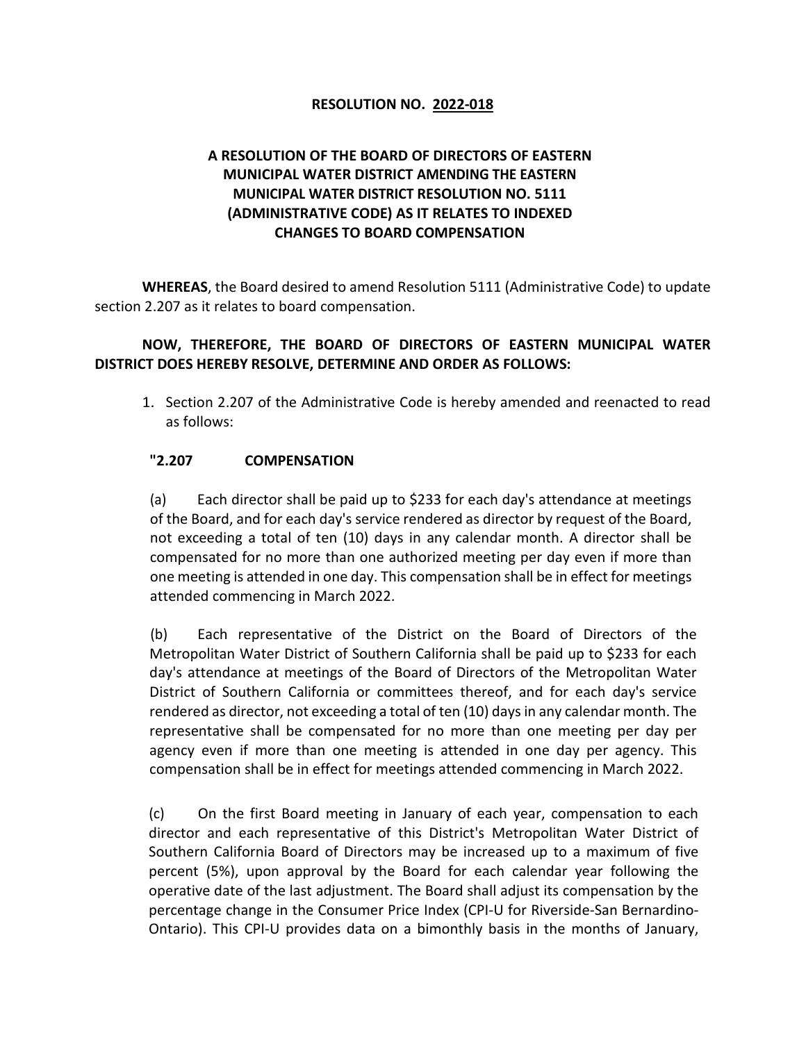## **RESOLUTION NO. 2022-018**

## **A RESOLUTION OF THE BOARD OF DIRECTORS OF EASTERN MUNICIPAL WATER DISTRICT AMENDING THE EASTERN MUNICIPAL WATER DISTRICT RESOLUTION NO. 5111 (ADMINISTRATIVE CODE) AS IT RELATES TO INDEXED CHANGES TO BOARD COMPENSATION**

**WHEREAS**, the Board desired to amend Resolution 5111 (Administrative Code) to update section 2.207 as it relates to board compensation.

## **NOW, THEREFORE, THE BOARD OF DIRECTORS OF EASTERN MUNICIPAL WATER DISTRICT DOES HEREBY RESOLVE, DETERMINE AND ORDER AS FOLLOWS:**

1. Section 2.207 of the Administrative Code is hereby amended and reenacted to read as follows:

## **"2.207 COMPENSATION**

(a) Each director shall be paid up to \$233 for each day's attendance at meetings of the Board, and for each day's service rendered as director by request of the Board, not exceeding a total of ten (10) days in any calendar month. A director shall be compensated for no more than one authorized meeting per day even if more than one meeting is attended in one day. This compensation shall be in effect for meetings attended commencing in March 2022.

(b) Each representative of the District on the Board of Directors of the Metropolitan Water District of Southern California shall be paid up to \$233 for each day's attendance at meetings of the Board of Directors of the Metropolitan Water District of Southern California or committees thereof, and for each day's service rendered as director, not exceeding a total of ten (10) days in any calendar month. The representative shall be compensated for no more than one meeting per day per agency even if more than one meeting is attended in one day per agency. This compensation shall be in effect for meetings attended commencing in March 2022.

(c) On the first Board meeting in January of each year, compensation to each director and each representative of this District's Metropolitan Water District of Southern California Board of Directors may be increased up to a maximum of five percent (5%), upon approval by the Board for each calendar year following the operative date of the last adjustment. The Board shall adjust its compensation by the percentage change in the Consumer Price Index (CPI-U for Riverside-San Bernardino-Ontario). This CPI-U provides data on a bimonthly basis in the months of January,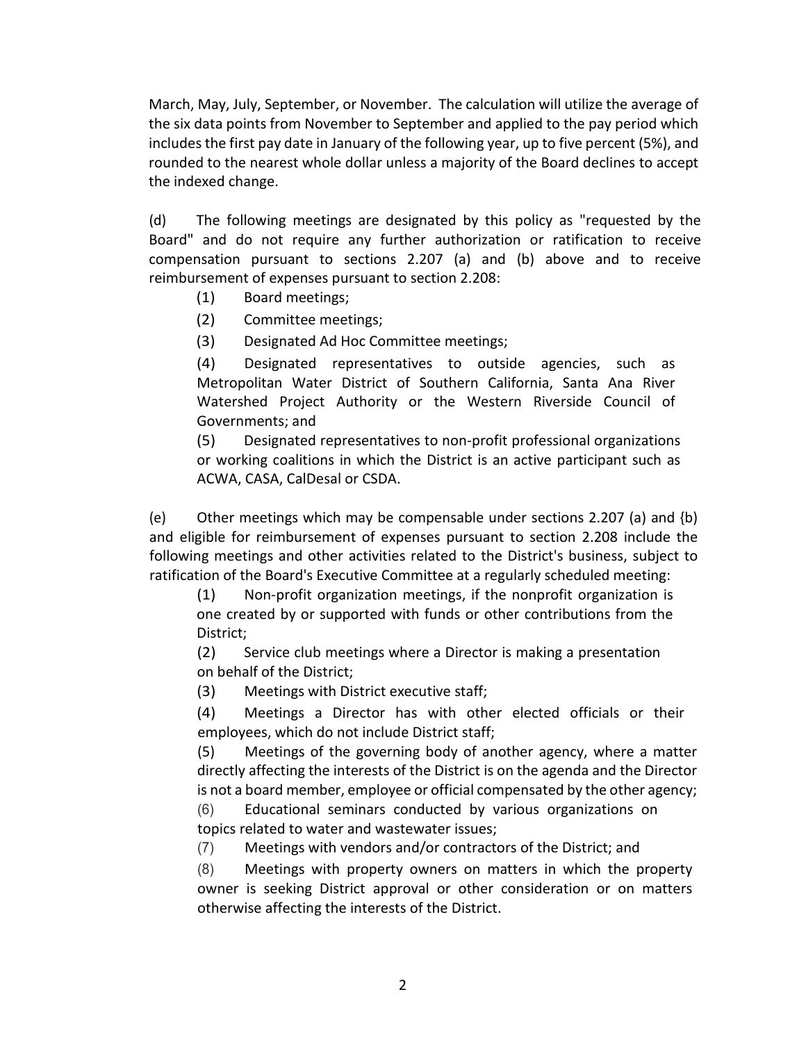March, May, July, September, or November. The calculation will utilize the average of the six data points from November to September and applied to the pay period which includes the first pay date in January of the following year, up to five percent (5%), and rounded to the nearest whole dollar unless a majority of the Board declines to accept the indexed change.

(d) The following meetings are designated by this policy as "requested by the Board" and do not require any further authorization or ratification to receive compensation pursuant to sections 2.207 (a) and (b) above and to receive reimbursement of expenses pursuant to section 2.208:

- (1) Board meetings;
- (2) Committee meetings;
- (3) Designated Ad Hoc Committee meetings;

(4) Designated representatives to outside agencies, such as Metropolitan Water District of Southern California, Santa Ana River Watershed Project Authority or the Western Riverside Council of Governments; and

(5) Designated representatives to non-profit professional organizations or working coalitions in which the District is an active participant such as ACWA, CASA, CalDesal or CSDA.

(e) Other meetings which may be compensable under sections 2.207 (a) and  ${b}$ ) and eligible for reimbursement of expenses pursuant to section 2.208 include the following meetings and other activities related to the District's business, subject to ratification of the Board's Executive Committee at a regularly scheduled meeting:

(1) Non-profit organization meetings, if the nonprofit organization is one created by or supported with funds or other contributions from the District;

(2) Service club meetings where a Director is making a presentation on behalf of the District;

(3) Meetings with District executive staff;

(4) Meetings a Director has with other elected officials or their employees, which do not include District staff;

(5) Meetings of the governing body of another agency, where a matter directly affecting the interests of the District is on the agenda and the Director is not a board member, employee or official compensated by the other agency;

(6) Educational seminars conducted by various organizations on topics related to water and wastewater issues;

(7) Meetings with vendors and/or contractors of the District; and

(8) Meetings with property owners on matters in which the property owner is seeking District approval or other consideration or on matters otherwise affecting the interests of the District.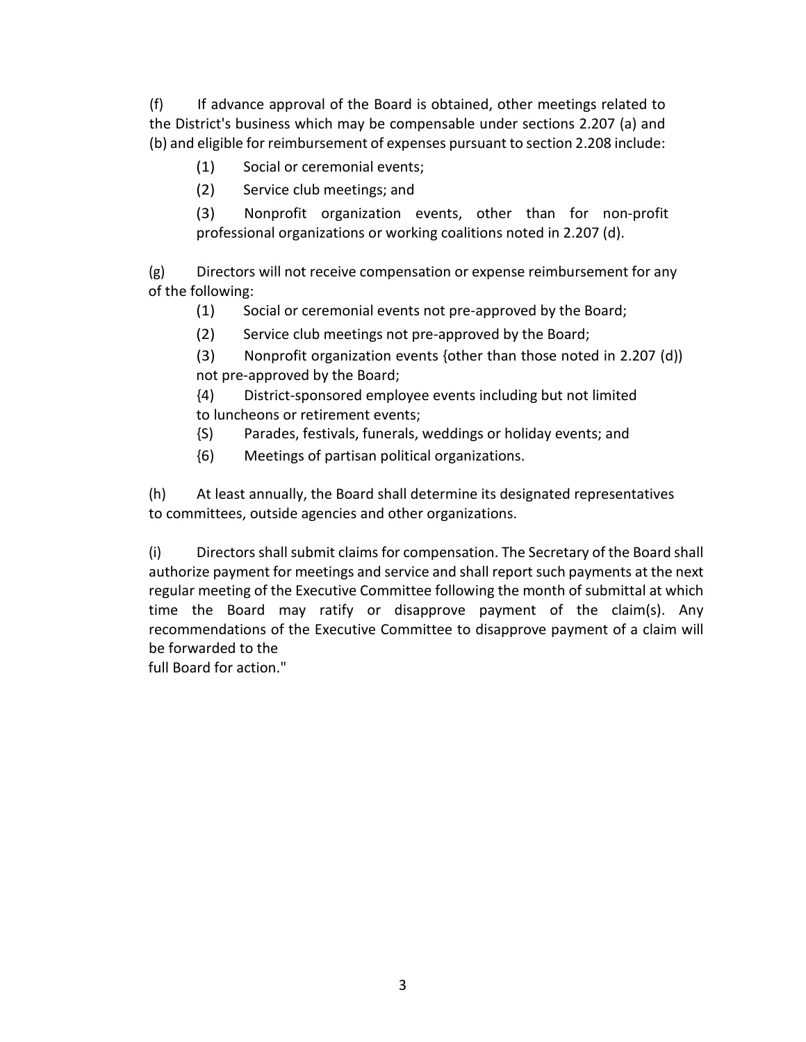(f) If advance approval of the Board is obtained, other meetings related to the District's business which may be compensable under sections 2.207 (a) and (b) and eligible for reimbursement of expenses pursuant to section 2.208 include:

- (1) Social or ceremonial events;
- (2) Service club meetings; and

(3) Nonprofit organization events, other than for non-profit professional organizations or working coalitions noted in 2.207 (d).

(g) Directors will not receive compensation or expense reimbursement for any of the following:

(1) Social or ceremonial events not pre-approved by the Board;

(2) Service club meetings not pre-approved by the Board;

(3) Nonprofit organization events {other than those noted in 2.207 (d)) not pre-approved by the Board;

{4) District-sponsored employee events including but not limited to luncheons or retirement events;

- {S) Parades, festivals, funerals, weddings or holiday events; and
- {6) Meetings of partisan political organizations.

(h) At least annually, the Board shall determine its designated representatives to committees, outside agencies and other organizations.

(i) Directors shall submit claims for compensation. The Secretary of the Board shall authorize payment for meetings and service and shall report such payments at the next regular meeting of the Executive Committee following the month of submittal at which time the Board may ratify or disapprove payment of the claim(s). Any recommendations of the Executive Committee to disapprove payment of a claim will be forwarded to the

full Board for action."